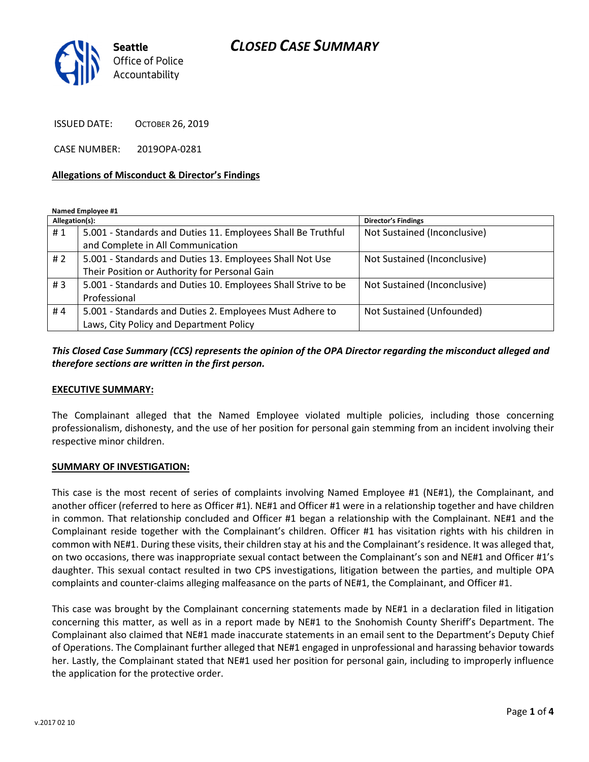## CLOSED CASE SUMMARY



ISSUED DATE: OCTOBER 26, 2019

CASE NUMBER: 2019OPA-0281

#### Allegations of Misconduct & Director's Findings

Named Employee #1

| Allegation(s): |                                                               | <b>Director's Findings</b>   |
|----------------|---------------------------------------------------------------|------------------------------|
| #1             | 5.001 - Standards and Duties 11. Employees Shall Be Truthful  | Not Sustained (Inconclusive) |
|                | and Complete in All Communication                             |                              |
| # $2$          | 5.001 - Standards and Duties 13. Employees Shall Not Use      | Not Sustained (Inconclusive) |
|                | Their Position or Authority for Personal Gain                 |                              |
| #3             | 5.001 - Standards and Duties 10. Employees Shall Strive to be | Not Sustained (Inconclusive) |
|                | Professional                                                  |                              |
| #4             | 5.001 - Standards and Duties 2. Employees Must Adhere to      | Not Sustained (Unfounded)    |
|                | Laws, City Policy and Department Policy                       |                              |

### This Closed Case Summary (CCS) represents the opinion of the OPA Director regarding the misconduct alleged and therefore sections are written in the first person.

#### EXECUTIVE SUMMARY:

The Complainant alleged that the Named Employee violated multiple policies, including those concerning professionalism, dishonesty, and the use of her position for personal gain stemming from an incident involving their respective minor children.

#### SUMMARY OF INVESTIGATION:

This case is the most recent of series of complaints involving Named Employee #1 (NE#1), the Complainant, and another officer (referred to here as Officer #1). NE#1 and Officer #1 were in a relationship together and have children in common. That relationship concluded and Officer #1 began a relationship with the Complainant. NE#1 and the Complainant reside together with the Complainant's children. Officer #1 has visitation rights with his children in common with NE#1. During these visits, their children stay at his and the Complainant's residence. It was alleged that, on two occasions, there was inappropriate sexual contact between the Complainant's son and NE#1 and Officer #1's daughter. This sexual contact resulted in two CPS investigations, litigation between the parties, and multiple OPA complaints and counter-claims alleging malfeasance on the parts of NE#1, the Complainant, and Officer #1.

This case was brought by the Complainant concerning statements made by NE#1 in a declaration filed in litigation concerning this matter, as well as in a report made by NE#1 to the Snohomish County Sheriff's Department. The Complainant also claimed that NE#1 made inaccurate statements in an email sent to the Department's Deputy Chief of Operations. The Complainant further alleged that NE#1 engaged in unprofessional and harassing behavior towards her. Lastly, the Complainant stated that NE#1 used her position for personal gain, including to improperly influence the application for the protective order.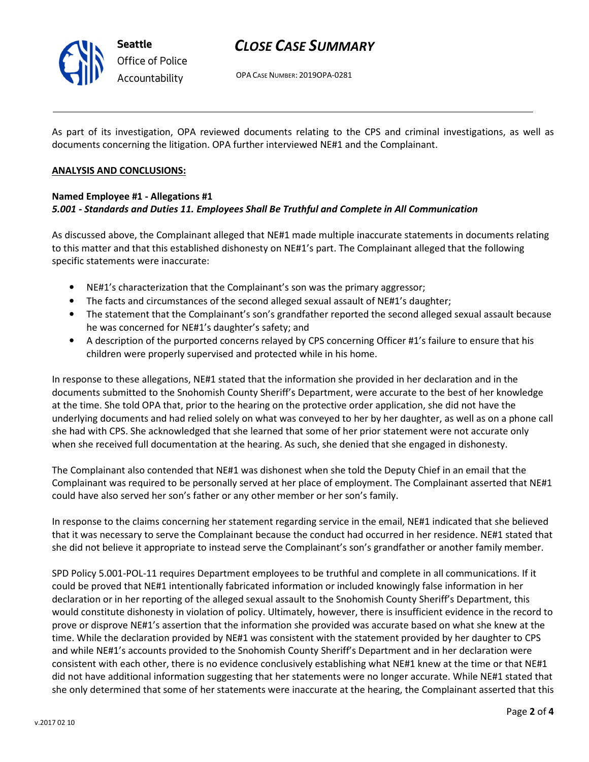

# CLOSE CASE SUMMARY

OPA CASE NUMBER: 2019OPA-0281

As part of its investigation, OPA reviewed documents relating to the CPS and criminal investigations, as well as documents concerning the litigation. OPA further interviewed NE#1 and the Complainant.

#### ANALYSIS AND CONCLUSIONS:

### Named Employee #1 - Allegations #1 5.001 - Standards and Duties 11. Employees Shall Be Truthful and Complete in All Communication

As discussed above, the Complainant alleged that NE#1 made multiple inaccurate statements in documents relating to this matter and that this established dishonesty on NE#1's part. The Complainant alleged that the following specific statements were inaccurate:

- NE#1's characterization that the Complainant's son was the primary aggressor;
- The facts and circumstances of the second alleged sexual assault of NE#1's daughter;
- The statement that the Complainant's son's grandfather reported the second alleged sexual assault because he was concerned for NE#1's daughter's safety; and
- A description of the purported concerns relayed by CPS concerning Officer #1's failure to ensure that his children were properly supervised and protected while in his home.

In response to these allegations, NE#1 stated that the information she provided in her declaration and in the documents submitted to the Snohomish County Sheriff's Department, were accurate to the best of her knowledge at the time. She told OPA that, prior to the hearing on the protective order application, she did not have the underlying documents and had relied solely on what was conveyed to her by her daughter, as well as on a phone call she had with CPS. She acknowledged that she learned that some of her prior statement were not accurate only when she received full documentation at the hearing. As such, she denied that she engaged in dishonesty.

The Complainant also contended that NE#1 was dishonest when she told the Deputy Chief in an email that the Complainant was required to be personally served at her place of employment. The Complainant asserted that NE#1 could have also served her son's father or any other member or her son's family.

In response to the claims concerning her statement regarding service in the email, NE#1 indicated that she believed that it was necessary to serve the Complainant because the conduct had occurred in her residence. NE#1 stated that she did not believe it appropriate to instead serve the Complainant's son's grandfather or another family member.

SPD Policy 5.001-POL-11 requires Department employees to be truthful and complete in all communications. If it could be proved that NE#1 intentionally fabricated information or included knowingly false information in her declaration or in her reporting of the alleged sexual assault to the Snohomish County Sheriff's Department, this would constitute dishonesty in violation of policy. Ultimately, however, there is insufficient evidence in the record to prove or disprove NE#1's assertion that the information she provided was accurate based on what she knew at the time. While the declaration provided by NE#1 was consistent with the statement provided by her daughter to CPS and while NE#1's accounts provided to the Snohomish County Sheriff's Department and in her declaration were consistent with each other, there is no evidence conclusively establishing what NE#1 knew at the time or that NE#1 did not have additional information suggesting that her statements were no longer accurate. While NE#1 stated that she only determined that some of her statements were inaccurate at the hearing, the Complainant asserted that this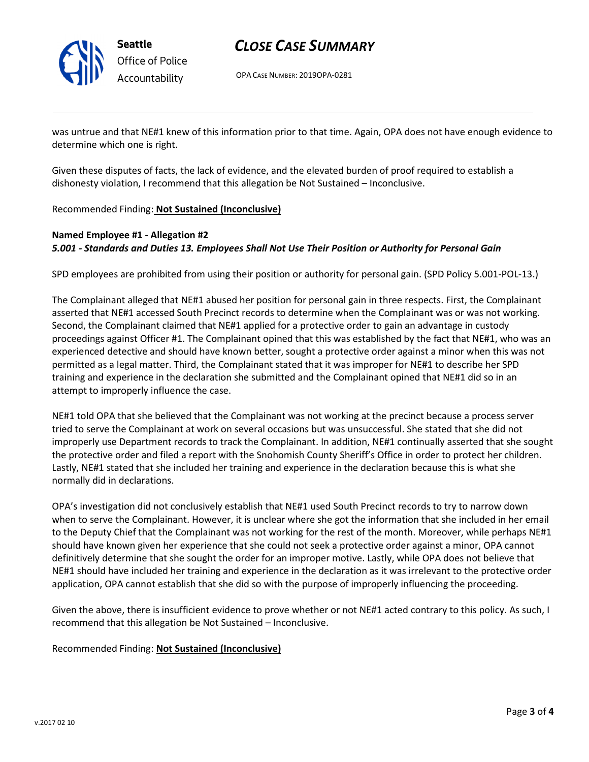

Seattle Office of Police Accountability

# CLOSE CASE SUMMARY

OPA CASE NUMBER: 2019OPA-0281

was untrue and that NE#1 knew of this information prior to that time. Again, OPA does not have enough evidence to determine which one is right.

Given these disputes of facts, the lack of evidence, and the elevated burden of proof required to establish a dishonesty violation, I recommend that this allegation be Not Sustained – Inconclusive.

Recommended Finding: Not Sustained (Inconclusive)

## Named Employee #1 - Allegation #2 5.001 - Standards and Duties 13. Employees Shall Not Use Their Position or Authority for Personal Gain

SPD employees are prohibited from using their position or authority for personal gain. (SPD Policy 5.001-POL-13.)

The Complainant alleged that NE#1 abused her position for personal gain in three respects. First, the Complainant asserted that NE#1 accessed South Precinct records to determine when the Complainant was or was not working. Second, the Complainant claimed that NE#1 applied for a protective order to gain an advantage in custody proceedings against Officer #1. The Complainant opined that this was established by the fact that NE#1, who was an experienced detective and should have known better, sought a protective order against a minor when this was not permitted as a legal matter. Third, the Complainant stated that it was improper for NE#1 to describe her SPD training and experience in the declaration she submitted and the Complainant opined that NE#1 did so in an attempt to improperly influence the case.

NE#1 told OPA that she believed that the Complainant was not working at the precinct because a process server tried to serve the Complainant at work on several occasions but was unsuccessful. She stated that she did not improperly use Department records to track the Complainant. In addition, NE#1 continually asserted that she sought the protective order and filed a report with the Snohomish County Sheriff's Office in order to protect her children. Lastly, NE#1 stated that she included her training and experience in the declaration because this is what she normally did in declarations.

OPA's investigation did not conclusively establish that NE#1 used South Precinct records to try to narrow down when to serve the Complainant. However, it is unclear where she got the information that she included in her email to the Deputy Chief that the Complainant was not working for the rest of the month. Moreover, while perhaps NE#1 should have known given her experience that she could not seek a protective order against a minor, OPA cannot definitively determine that she sought the order for an improper motive. Lastly, while OPA does not believe that NE#1 should have included her training and experience in the declaration as it was irrelevant to the protective order application, OPA cannot establish that she did so with the purpose of improperly influencing the proceeding.

Given the above, there is insufficient evidence to prove whether or not NE#1 acted contrary to this policy. As such, I recommend that this allegation be Not Sustained – Inconclusive.

Recommended Finding: Not Sustained (Inconclusive)